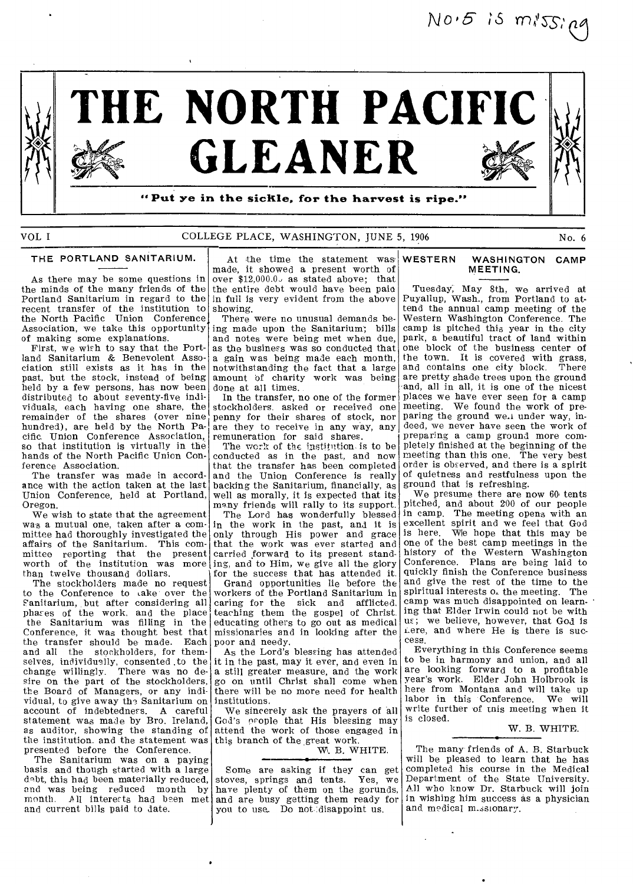$N0.5$  is  $m$ *i*ssipa



### VOL I COLLEGE PLACE, WASHINGTON, JUNE 5, 1906 No. 6 No. 6

### THE PORTLAND SANITARIUM.

As there may be some questions in the minds of the many friends of the Portland Sanitarium in regard to the recent transfer of the institution to the North Pacific Union Conference Association, we take this opportunity of making some explanations.

First, we wish to say that the Portland Sanitarium & Benevolent Association still exists as it has in the past, but the stock, instead of being held by a few persons, has now been distributed to about seventy-five individuals, each having one share, the remainder of the shares (over nine hundred), are held by the North Pacific. Union Conference Association, so that institution is virtually in the hands of the North Pacific Union Conference Association.

The transfer was made in accordance with the action taken at the last Union Conference, held at Portland, Oregon.

We wish to state that the agreement was a mutual one, taken after a committee had thoroughly investigated the affairs of the Sanitarium. This committee reporting that the present worth of the institution was more than twelve thousand dollars.

The stockholders made no request to the Conference to take over the Fanitarium, but after considering all phases of the work, and the place the Sanitarium was filling in the Conference, it was thought best that the transfer should be made. Each and all the stockholders, for themselves, individually, consented .to the change willingly. There was no desire on the part of the stockholders, the Board of Managers, or any individual, to give away the Sanitarium on account of indebtedness. A careful statement was made by Bro. Ireland, as auditor, showing the standing of the institution, and the statement was this branch of the great work. presented before the Conference.

The Sanitarium was on a paying basis and though started with a large debt, this had been materially reduced, and was being reduced month by month. *All* interests had been met and current bills paid to date.

At the time the statement was' made, it showed a present worth of over \$12,000.0, as stated above; that the entire debt would have been pale in full is very evident from the above showing.

There were no unusual demands being made upon the Sanitarium'; bills and notes were being met when due, as the business was so conducted that a gain was being made each month, notwithstanding the fact that a large amount of charity work was being done at all times.

In the transfer, no one of the former stockholders. asked or received one penny for their shares of stock, nor are they to receive in any way, any remuneration for said shares.

The work of the institution is to be conducted as in the past, and now that the transfer has been completed and the Union Conference is really backing the Sanitarium, financially, as well as morally, it is expected that its many friends will rally to its support.

The Lord has wonderfully blessed in the work in the past, and it is only through His power and grace that the work was ever started and carried forward to its present standing, and to Him, we give all the glory for the success that has attended it.

Grand opportunities lie before the workers of the Portland Sanitarium in caring for the sick and afflicted. teaching them the gospel of Christ. educating others to go out as medical missionaries and in looking after the poor and needy.

As the Lord's blessing has attended it in the past, may it ever, and even in a still greater measure, and the work go on until Christ shall come when there will be no more need for health institutions.

We sincerely ask the prayers of all God's people that His blessing may attend the work of those engaged in

### W. B. WHITE.

Some are asking if they can get stoves, springs and tents. Yes, we have plenty of them on the gorunds. and are busy getting them ready for you to use. Do not disappoint us.

### WESTERN WASHINGTON CAMP MEETING.

Tuesday, May 8th, we arrived at Puyallup, Wash., from Portland to attend the annual camp meeting of the Western Washington Conference. The camp is pitched this year in the city park, a beautiful tract of land within one block of the business center of the town. It is covered with grass, and contains one city block. There are pretty shade trees upon the ground and, all in all, it is one of the nicest places we have ever seen for a camp meeting. We found the work of preparing the ground we.i under way, indeed, we never have seen the work of preparing a camp ground more completely finished at the beginning of the meeting than this one. The very best order is observed, and there is a spirit of quietness and restfulness upon the ground that is refreshing.

We presume there are now 60 tents pitched, and about 200 of our people in camp. The meeting opens with an excellent spirit and we feel that God is here. We hope that this may be one of the best camp meetings in the history of the Western Washington Conference. Plans are being laid to quickly finish the Conference business and give the rest of the time to the spiritual interests  $o<sub>r</sub>$  the meeting. The spiritual interests of the meeting. camp was much disappointed on learn- ' ing that Elder Irwin could not be with us; we believe, however, that God is Lere, and where He is there is success.

Everything in this Conference seems to be in harmony and union, and all are looking forward to a profitable year's work. Elder John Holbrook is here from Montana and will take up labor in this Conference. We will write further of this meeting when it is closed.

### W. B. WHITE.

The many friends of A. B. Starbuck will be pleased to learn that he has completed his course in the Medical Department of the State University. All who know Dr. Starbuck will join in wishing him success as a physician and medical m.ssionary.

 $\mathcal{L}$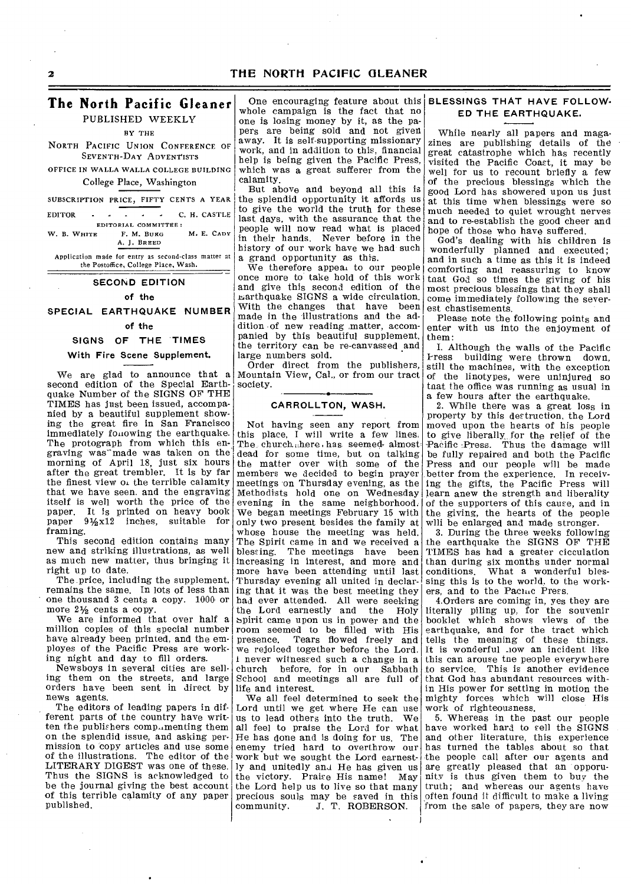### **2 THE NORTH PACIFIC GLEANER**

### **The North Pacific Gleaner**

PUBLISHED WEEKLY

BY THE

NORTH PACIFIC UNION CONFERENCE OF SEVENTH-DAY ADVENTISTS

OFFICE IN WALLA WALLA COLLEGE BUILDING College Place, Washington

EDITORIAL COMMITTEE: W. B. WHITE F. M. BURG M. E. CADY A. J. BREED

Application made for entry as second-class matter at the Postoffice, College Place, Wash.

### **SECOND EDITION**

**of the** 

**SPECIAL EARTHQUAKE NUMBER** 

## **of the**

## **SIGNS OF THE TIMES**

**With Fire Scene Supplement.** 

We are glad to announce that a second edition of the Special Earthquake Number of the SIGNS OF THE TIMES has just been issued, accompanied by a beautiful supplement showing the great fire in San Francisco immediately following the earthquake. The protograph from which this engraving was made was taken on the morning of April 18, just six hours after the great trembler. It is by far the finest view  $0.$  the terrible calamity that we have seen. and the engraving itself is well worth the price of the paper. It is printed on heavy book paper 91/2 x12 inches, suitable for framing.

This second edition contains many new and striking illustrations, as well as much new matter, thus bringing it right up to date.

The price, including the supplement, remains the same. In lots of less than one thousand 3 cents a copy. 1000 or more  $2\frac{1}{2}$  cents a copy.

We are informed that over half a million copies of this special number have already been printed, and the employes of the Pacific Press are working night and day to fill orders.

Newsboys in several cities are selling them on the streets, and large orders have been sent in direct by news agents.

The editors of leading papers in different parts of the country have written the publishers comp...menting them on the splendid issue, and asking permission to copy articles and use some of the illustrations. The editor of the LITERARY DIGEST was one of these. Thus the SIGNS is acknowledged to be the journal giving the best account of this terrible calamity of any paper published.

One encouraging feature about this whole campaign is the fact that no one is losing money by it, as the papers are being sold and not given away. It is self-supporting missionary work, and in addition to this, financial help is being given the Pacific Press, which was a great sufferer from the calamity.

SUBSCRIPTION PRICE, FIFTY CENTS A YEAR the splendid opportunity it affords us<br>
EDITOR C. H. CASTLE last days, with the assurance that the But above and beyond all this is to give the world the truth for these last days, with the assurance that the people will now read what is placed in their hands. Never before in the history of our work have we had such a grand opportunity as this.

We therefore appear to our people once more to take hold of this work and give this second edition of the  $\mu$ arthquake SIGNS a wide circulation. With the changes that have been made in the illustrations and the addition of new reading matter, accompanied by this beautiful supplement, the territory can be re-canvassed and large numbers sold.

Order direct from the publishers, Mountain View, Cal., or from our tract society.

### **CARROLLTON, WASH.**

Not having seen any report from this place, I will write a few lines. The church, here, has seemed almost dead for some time, but on talking the matter over with some of the members we decided to begin prayer meetings on Thursday evening, as the Methodists hold one on Wednesday evening in the same neighborhood. We began meetings February 15 with only two present besides the family at whose house the meeting was held. The Spirit came in and we received a blessing. The meetings have been increasing in interest, and more and more have been attending until last Thursday evening all united in declaring that it was the best meeting they had ever attended. All were seeking the Lord earnestly and the Holy spirit came upon us in power and the room seemed to be filled with His presence. Tears flowed freely and we rejoiced together before the Lord. never witnessed such a change in a church before, for in our Sabbath School and meetings all are full of life and interest.

We all feel determined to seek the Lord until we get where He can use us to lead others into the truth. We all feel to praise the Lord for what He has done and is doing for us. The enemy tried hard to overthrow our work but we sought the Lord earnestly and unitedly and He has given us the victory. Praise His name! May the Lord help us to live so that many precious souls may be saved in this community. J. T. ROBERSON.

### **BLESSINGS THAT HAVE FOLLOW-ED THE EARTHQUAKE.**

While nearly all papers and magazines are publishing details of the great catastrophe which has recently visited the Pacific Coast, it may be well for us to recount briefly a few of the precious blessings which the good Lord has showered upon us just at this time when blessings were so much needed to quiet wrought nerves and to re-establish the good cheer and hope of those who have suffered.

God's dealing with his children is wonderfully planned and executed; and in such a time as this it is indeed comforting and reassuring to know tnat God so times the giving of his most precious blessings that they shall come immediately following the severest chastisements.

Please note the following points and enter with us into the enjoyment of them:

I. Although the walls of the Pacific Press building were thrown down, still the machines, with the exception of the linotypes, were uninjured so tnat the office was running as usual in a few hours after the earthquake.

2. While there was a great loss in property by this destruction, the Lord moved upon the hearts of his people to give liberally,, for the relief of the -Pacific Press. Thus the damage will be fully repaired and both the Pacific Press and our people will be made better from the experience. In receiving the gifts, the Pacific Press will learn anew the strength and liberality of the supporters of this cause, and in the giving, the hearts of the people will be enlarged and made stronger.

3. During the three weeks following the earthquake the SIGNS OF THE TIMES has had a greater cicculation than during six months under normal conditions. What a wonderful bles-What a wonderful blessing this is to the world, to the workers, and to the Pacinc Press.

4.Orders are coming in, yes they are literally piling up, for the souvenir booklet which shows views of the earthquake, and for the tract which tells the meaning of these things. It is wonderful \_low an incident like this can arouse tne people everywhere to service. This is another evidence that God has abundant resources within His power for setting in motion the mighty forces which will close His work of righteousness.

5. Whereas in the past our people have worked hard to sell the SIGNS and other literature, this experience has turned the tables about so that the people call after our agents and are greatly pleased that an opporunitv is thus given them to buy the truth; and whereas our agents have, often found it difficult to make a living from the sale of papers, they are now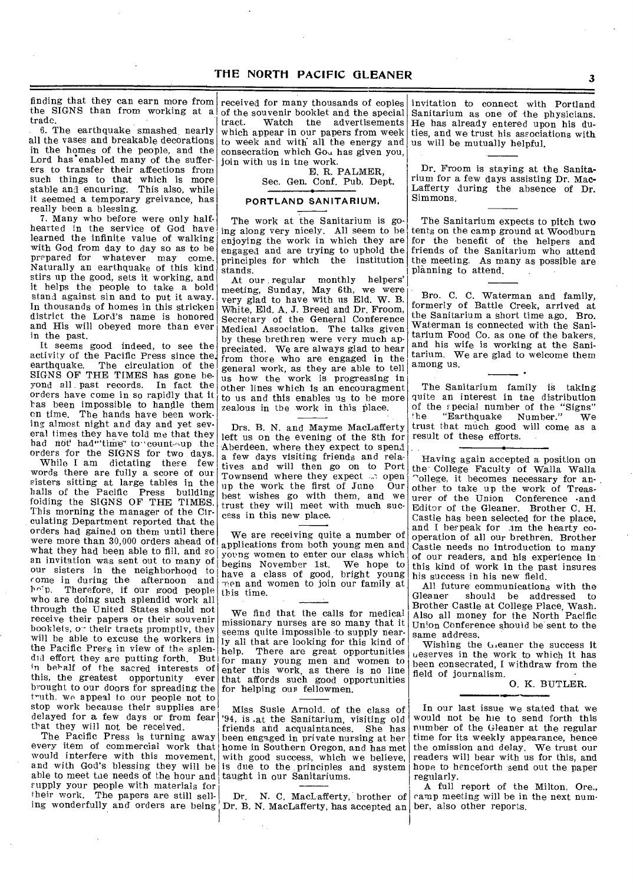finding that they can earn more from received for many thousands of copies the SIGNS than from working at a trade.

6. The earthquake smashed nearly all the vases and breakable decorations in the homes of the people, and the Lord has enabled many of the sufferers to transfer their affections from such things to that which is more stable and enauring. This also, while it seemed a temporary greivance, has really been a blessing.

7. Many who before were only halfhearted in the service of God have learned the infinite value of walking with God from day to day so as to be prepared for whatever may come. Naturally an earthquake of this kind stirs up the good, sets it working, and it helps the people to take a bold stand against sin and to put it away. In thousands of homes in this stricken district the Lord's name is honored and His will obeyed more than ever in the past.

It seems good indeed, to see the activity of the Pacific Press since the earthquake. The circulation of the SIGNS OF THE TIMES has gone beyond all past records. In fact the orders have come in so rapidly that it has been impossible to handle them on time. The hands have been working almost night and day and yet several times they have told me that they had not had" time to count-up the orders for the SIGNS for two days.

While I am dictating these few words there are fully a score of our sisters sitting at large tables in the halls of the Pacific Press building folding the SIGNS OF THE TIMES. This morning the manager of the Circulating Department reported that the orders had gained on them until there were more than 30,000 orders ahead of what they had been able to fill, and so an invitation was sent out to many of our sisters in the neighborhood to come in during the afternoon and  $h \circ p$ . Therefore, if our good people Therefore, if our good people who are doing such splendid work all through the United States should not receive their papers or their souvenir booklets, or their tracts promptly, they will be able to excuse the workers in the Pacific Press in view of the splendid effort they are putting forth. But for many young men and women to in behalf of the sacred interests of this, the greatest opportunity ever brought to our doors for spreading the truth. we appeal to our people not to stop work because their supplies are delayed for a few days or from fear that they will not be received.

The Pacific Press is turning away every item of commercial work that would interfere with this movement, and with God's blessing they will be able to meet the needs of the hour and supply your people with materials for their work. The papers are still sell-

of the souvenir booklet and the special<br>tract. Watch the advertisements Watch the advertisements which appear in our papers from week to week and with' all the energy and consecration which Gou has given you, join with us in tne work.

E. R. PALMER, Sec. Gen. Conf. Pub. Dept.

# • PORTLAND SANITARIUM.

The work at the Sanitarium is going along very nicely. All seem to be enjoying the work in which they are engaged and are trying to uphold the principles for which the institution stands.

At our regular monthly helpers' meeting, Sunday, May 6th, we were very glad to have with us Eld. W. B. White, Eld. A. J. Breed and Dr. Froom, Secretary of the General Conference Medical Association. The talks given by these brethren were very much appreciated. We are always glad to hear from those who are engaged in the general work, as they are able to tell us how the work is progressing in other lines which is an encouragment to us and this enables us to be more zealous in the work in this place.

Drs. B. N. and Mayme MacLafferty left us on the evening of the 8th for Aberdeen, where they expect to spend a few days visiting friends and relatives and will then go on to Port Townsend where they expect  $\therefore$  open<br>up the work the first of June Our up the work the first of June best wishes go with them, and we trust they will meet with much success in this new place.

We are receiving quite a number of applications from both young men and young women to enter our class which begins November 1st. We hope to have a class of good, bright young men and women to join our family at this time.

We find that the calls for medical missionary nurses are so many that it seems quite impossible to supply nearly all that are looking for this kind of help. There are great opportunities enter this work, as there is no line that affords such good opportunities for helping our fellowmen.

Miss Susie Arnold. of the class of '94, is .at the Sanitarium, visiting old friends and acquaintances. She has been engaged in private nursing at her home in Southern Oregon, and has met with good success, which we believe, is due to the principles and system taught in our Sanitariums.

ing wonderfully and orders are being Dr. B. N. MacLafferty, has accepted an ber. also other reports. Dr. N. C. MacLafferty, brother of

invitation to connect with Portland Sanitarium as one of the physicians. He has already entered upon his duties, and we trust his associations with us will be mutually helpful.

Dr. Froom is staying at the Sanitarium for a few days assisting Dr. Mac-Lafferty during the absence of Dr. Simmons.

The Sanitarium expects to pitch two tents on the camp ground at Woodburn for the benefit of the helpers and friends of the Sanitarium who attend the meeting. As many as possible are planning to attend.

Bro. C. C. Waterman and family, formerly of Battle Creek, arrived at the Sanitarium a short time ago. Bro. Waterman is connected with the Sanitarium Food Co. as one of the bakers, and his wife is working at the Sanitarium. We are glad to welcome them among us.

The Sanitarium family is taking quite an interest in the distribution of the special number of the "Signs" 'he "Earthquake Number." We trust that much good will come as a result of these efforts.

Having again accepted a position on the College Faculty of Walla Walla r`ollege, it becomes necessary for another to take up the work of Treasurer of the Union Conference -and Editor of the Gleaner. Brother C. H. Castle has been selected for the place, and I bespeak for im the hearty cooperation of all our brethren. Brother Castle needs no introduction to many of our readers, and his experience in this kind of work in the past insures his success in his new field.

All future communications with the Gleaner should be addressed to Brother Castle at College Place, Wash. Also all money for the North Pacific Union Conference should be sent to the same address.

Wishing the Geaner the success it ueserves in the work to which it has been consecrated, I withdraw from the field of journalism.

0. K. BUTLER.

In our last issue we stated that we would not be hie to send forth this number of the Gleaner at the regular time for its weekly appearance, hence the omission and delay. We trust our readers will bear with us for this, and hope to henceforth send out the paper regularly.

A full report of the Milton, Ore., camp meeting will be in the next num-